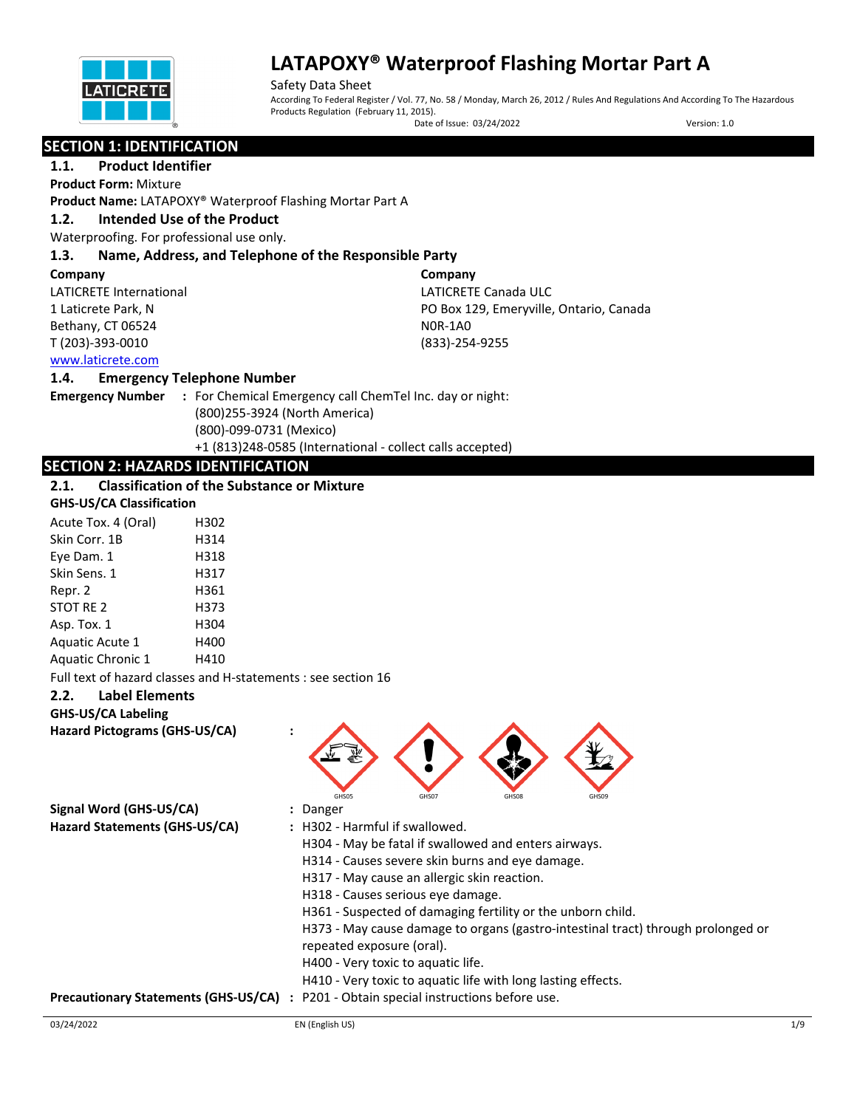

Safety Data Sheet According To Federal Register / Vol. 77, No. 58 / Monday, March 26, 2012 / Rules And Regulations And According To The Hazardous Products Regulation (February 11, 2015).

Date of Issue: 03/24/2022 Version: 1.0

## **SECTION 1: IDENTIFICATION**

## **1.1. Product Identifier**

**Product Form:** Mixture

**Product Name:** LATAPOXY® Waterproof Flashing Mortar Part A

#### **1.2. Intended Use of the Product**

Waterproofing. For professional use only.

## **1.3. Name, Address, and Telephone of the Responsible Party**

#### **Company**

LATICRETE International 1 Laticrete Park, N Bethany, CT 06524 T (203)-393-0010

**Company** LATICRETE Canada ULC PO Box 129, Emeryville, Ontario, Canada N0R-1A0 (833)-254-9255

## [www.laticrete.com](http://www.laticrete.com/)

#### **1.4. Emergency Telephone Number**

**Emergency Number :** For Chemical Emergency call ChemTel Inc. day or night: (800)255-3924 (North America) (800)-099-0731 (Mexico) +1 (813)248-0585 (International - collect calls accepted)

## **SECTION 2: HAZARDS IDENTIFICATION**

#### **2.1. Classification of the Substance or Mixture GHS-US/CA Classification**

| GHS-US/CA Classification |      |  |
|--------------------------|------|--|
| Acute Tox. 4 (Oral)      | H302 |  |
| Skin Corr. 1B            | H314 |  |
| Eye Dam. 1               | H318 |  |
| Skin Sens. 1             | H317 |  |
| Repr. 2                  | H361 |  |
| STOT RE 2                | H373 |  |
| Asp. Tox. 1              | H304 |  |
| <b>Aquatic Acute 1</b>   | H400 |  |
| <b>Aquatic Chronic 1</b> | H410 |  |

Full text of hazard classes and H-statements : see section 16

## **2.2. Label Elements**

#### **GHS-US/CA Labeling**

**Hazard Pictograms (GHS-US/CA) :**



**Signal Word (GHS-US/CA) :** Danger **Hazard Statements (GHS-US/CA) :** H302 - Harmful if swallowed.

- 
- - H304 May be fatal if swallowed and enters airways.
	- H314 Causes severe skin burns and eye damage.
	- H317 May cause an allergic skin reaction.
	- H318 Causes serious eye damage.
	- H361 Suspected of damaging fertility or the unborn child.
	- H373 May cause damage to organs (gastro-intestinal tract) through prolonged or
- repeated exposure (oral).
	- H400 Very toxic to aquatic life.
	- H410 Very toxic to aquatic life with long lasting effects.
- **Precautionary Statements (GHS-US/CA) :** P201 Obtain special instructions before use.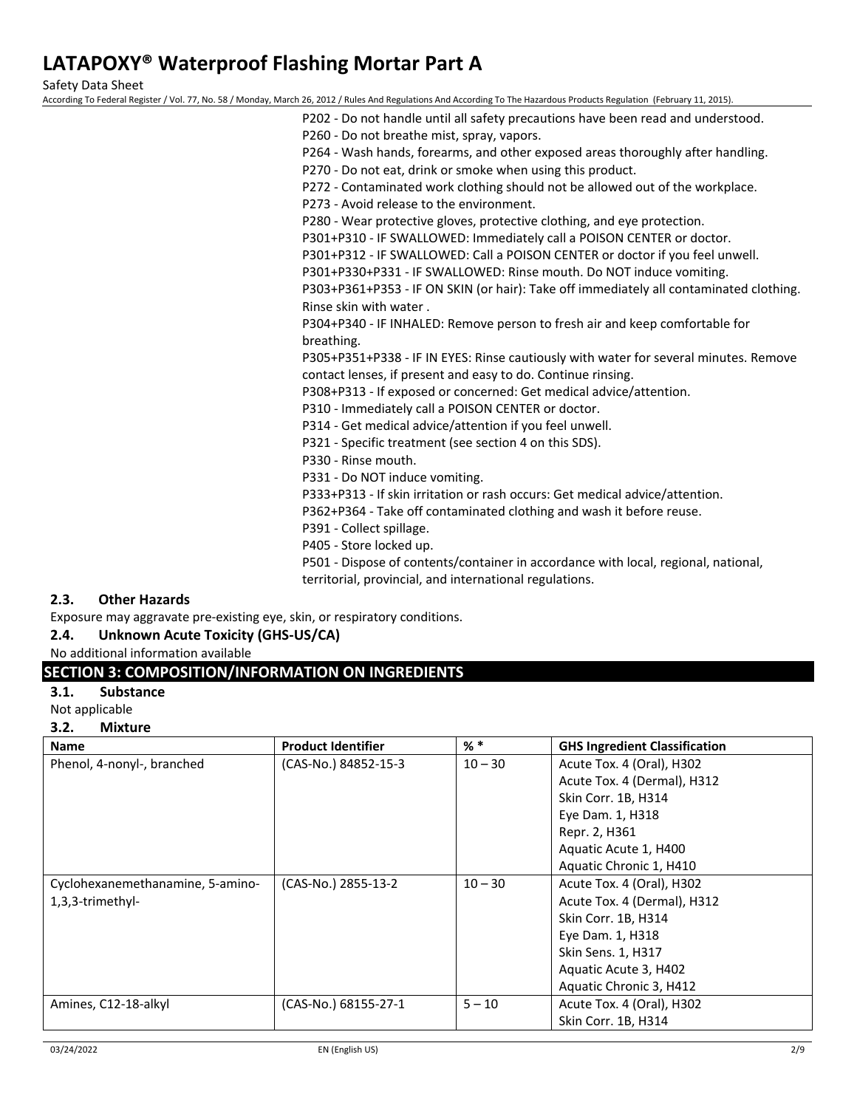Safety Data Sheet

According To Federal Register / Vol. 77, No. 58 / Monday, March 26, 2012 / Rules And Regulations And According To The Hazardous Products Regulation (February 11, 2015).

| P202 - Do not handle until all safety precautions have been read and understood.       |
|----------------------------------------------------------------------------------------|
| P260 - Do not breathe mist, spray, vapors.                                             |
| P264 - Wash hands, forearms, and other exposed areas thoroughly after handling.        |
| P270 - Do not eat, drink or smoke when using this product.                             |
| P272 - Contaminated work clothing should not be allowed out of the workplace.          |
| P273 - Avoid release to the environment.                                               |
| P280 - Wear protective gloves, protective clothing, and eye protection.                |
| P301+P310 - IF SWALLOWED: Immediately call a POISON CENTER or doctor.                  |
| P301+P312 - IF SWALLOWED: Call a POISON CENTER or doctor if you feel unwell.           |
| P301+P330+P331 - IF SWALLOWED: Rinse mouth. Do NOT induce vomiting.                    |
| P303+P361+P353 - IF ON SKIN (or hair): Take off immediately all contaminated clothing. |
| Rinse skin with water.                                                                 |
| P304+P340 - IF INHALED: Remove person to fresh air and keep comfortable for            |
| breathing.                                                                             |
| P305+P351+P338 - IF IN EYES: Rinse cautiously with water for several minutes. Remove   |
| contact lenses, if present and easy to do. Continue rinsing.                           |
| P308+P313 - If exposed or concerned: Get medical advice/attention.                     |
| P310 - Immediately call a POISON CENTER or doctor.                                     |
| P314 - Get medical advice/attention if you feel unwell.                                |
| P321 - Specific treatment (see section 4 on this SDS).                                 |
| P330 - Rinse mouth.                                                                    |
| P331 - Do NOT induce vomiting.                                                         |
| P333+P313 - If skin irritation or rash occurs: Get medical advice/attention.           |
| P362+P364 - Take off contaminated clothing and wash it before reuse.                   |
| P391 - Collect spillage.                                                               |
| DANE Store locked un                                                                   |

P405 - Store locked up.

P501 - Dispose of contents/container in accordance with local, regional, national, territorial, provincial, and international regulations.

## **2.3. Other Hazards**

Exposure may aggravate pre-existing eye, skin, or respiratory conditions.

## **2.4. Unknown Acute Toxicity (GHS-US/CA)**

No additional information available

## **SECTION 3: COMPOSITION/INFORMATION ON INGREDIENTS**

**3.1. Substance**

Not applicable

## **3.2. Mixture**

| <b>Name</b>                      | <b>Product Identifier</b> | % *       | <b>GHS Ingredient Classification</b> |
|----------------------------------|---------------------------|-----------|--------------------------------------|
| Phenol, 4-nonyl-, branched       | (CAS-No.) 84852-15-3      | $10 - 30$ | Acute Tox. 4 (Oral), H302            |
|                                  |                           |           | Acute Tox. 4 (Dermal), H312          |
|                                  |                           |           | Skin Corr. 1B, H314                  |
|                                  |                           |           | Eye Dam. 1, H318                     |
|                                  |                           |           | Repr. 2, H361                        |
|                                  |                           |           | Aquatic Acute 1, H400                |
|                                  |                           |           | Aquatic Chronic 1, H410              |
| Cyclohexanemethanamine, 5-amino- | (CAS-No.) 2855-13-2       | $10 - 30$ | Acute Tox. 4 (Oral), H302            |
| 1,3,3-trimethyl-                 |                           |           | Acute Tox. 4 (Dermal), H312          |
|                                  |                           |           | Skin Corr. 1B, H314                  |
|                                  |                           |           | Eye Dam. 1, H318                     |
|                                  |                           |           | Skin Sens. 1, H317                   |
|                                  |                           |           | Aquatic Acute 3, H402                |
|                                  |                           |           | Aquatic Chronic 3, H412              |
| Amines, C12-18-alkyl             | (CAS-No.) 68155-27-1      | $5 - 10$  | Acute Tox. 4 (Oral), H302            |
|                                  |                           |           | Skin Corr. 1B, H314                  |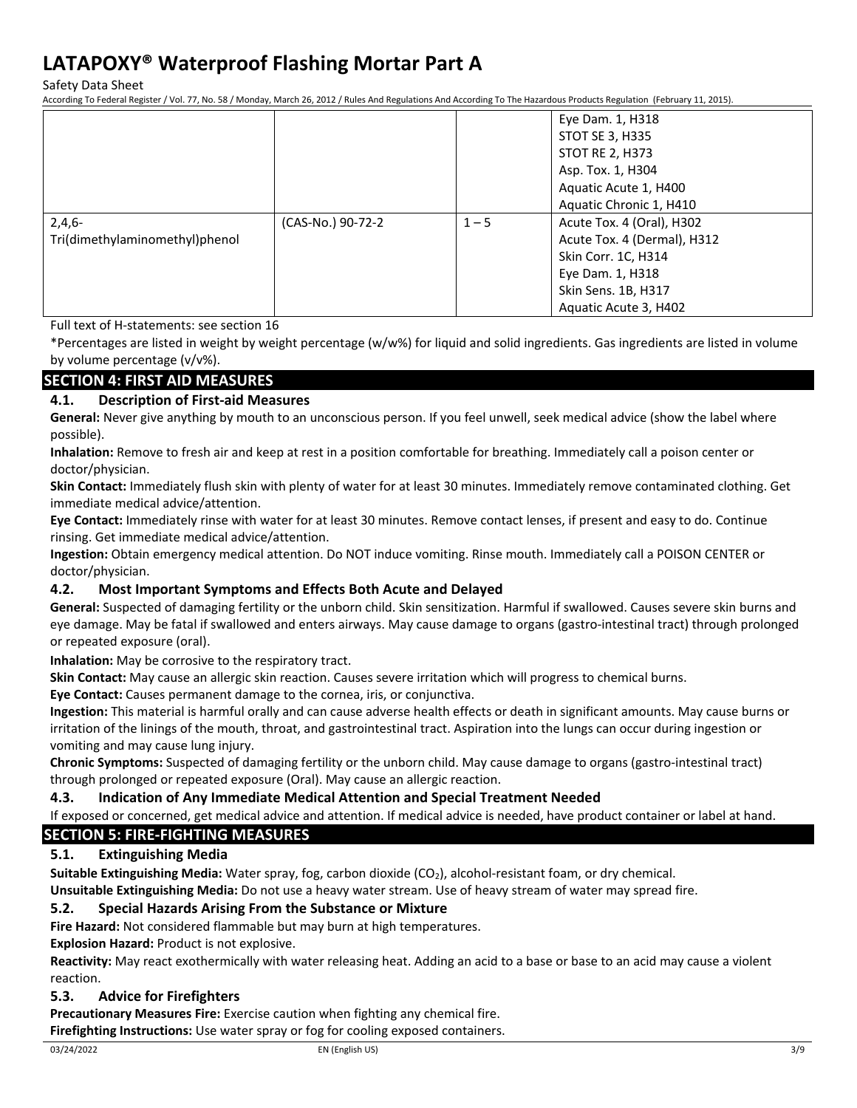Safety Data Sheet

According To Federal Register / Vol. 77, No. 58 / Monday, March 26, 2012 / Rules And Regulations And According To The Hazardous Products Regulation (February 11, 2015).

|                                |                   |         | Eye Dam. 1, H318            |
|--------------------------------|-------------------|---------|-----------------------------|
|                                |                   |         | STOT SE 3, H335             |
|                                |                   |         | STOT RE 2, H373             |
|                                |                   |         | Asp. Tox. 1, H304           |
|                                |                   |         | Aquatic Acute 1, H400       |
|                                |                   |         | Aquatic Chronic 1, H410     |
| $2,4,6-$                       | (CAS-No.) 90-72-2 | $1 - 5$ | Acute Tox. 4 (Oral), H302   |
| Tri(dimethylaminomethyl)phenol |                   |         | Acute Tox. 4 (Dermal), H312 |
|                                |                   |         | Skin Corr. 1C, H314         |
|                                |                   |         | Eye Dam. 1, H318            |
|                                |                   |         | Skin Sens. 1B, H317         |
|                                |                   |         | Aquatic Acute 3, H402       |

Full text of H-statements: see section 16

\*Percentages are listed in weight by weight percentage (w/w%) for liquid and solid ingredients. Gas ingredients are listed in volume by volume percentage (v/v%).

## **SECTION 4: FIRST AID MEASURES**

## **4.1. Description of First-aid Measures**

**General:** Never give anything by mouth to an unconscious person. If you feel unwell, seek medical advice (show the label where possible).

**Inhalation:** Remove to fresh air and keep at rest in a position comfortable for breathing. Immediately call a poison center or doctor/physician.

**Skin Contact:** Immediately flush skin with plenty of water for at least 30 minutes. Immediately remove contaminated clothing. Get immediate medical advice/attention.

**Eye Contact:** Immediately rinse with water for at least 30 minutes. Remove contact lenses, if present and easy to do. Continue rinsing. Get immediate medical advice/attention.

**Ingestion:** Obtain emergency medical attention. Do NOT induce vomiting. Rinse mouth. Immediately call a POISON CENTER or doctor/physician.

## **4.2. Most Important Symptoms and Effects Both Acute and Delayed**

**General:** Suspected of damaging fertility or the unborn child. Skin sensitization. Harmful if swallowed. Causes severe skin burns and eye damage. May be fatal if swallowed and enters airways. May cause damage to organs (gastro-intestinal tract) through prolonged or repeated exposure (oral).

**Inhalation:** May be corrosive to the respiratory tract.

**Skin Contact:** May cause an allergic skin reaction. Causes severe irritation which will progress to chemical burns.

**Eye Contact:** Causes permanent damage to the cornea, iris, or conjunctiva.

**Ingestion:** This material is harmful orally and can cause adverse health effects or death in significant amounts. May cause burns or irritation of the linings of the mouth, throat, and gastrointestinal tract. Aspiration into the lungs can occur during ingestion or vomiting and may cause lung injury.

**Chronic Symptoms:** Suspected of damaging fertility or the unborn child. May cause damage to organs (gastro-intestinal tract) through prolonged or repeated exposure (Oral). May cause an allergic reaction.

## **4.3. Indication of Any Immediate Medical Attention and Special Treatment Needed**

If exposed or concerned, get medical advice and attention. If medical advice is needed, have product container or label at hand.

## **SECTION 5: FIRE-FIGHTING MEASURES**

## **5.1. Extinguishing Media**

**Suitable Extinguishing Media:** Water spray, fog, carbon dioxide (CO<sub>2</sub>), alcohol-resistant foam, or dry chemical.

**Unsuitable Extinguishing Media:** Do not use a heavy water stream. Use of heavy stream of water may spread fire.

## **5.2. Special Hazards Arising From the Substance or Mixture**

**Fire Hazard:** Not considered flammable but may burn at high temperatures.

**Explosion Hazard:** Product is not explosive.

**Reactivity:** May react exothermically with water releasing heat. Adding an acid to a base or base to an acid may cause a violent reaction.

## **5.3. Advice for Firefighters**

**Precautionary Measures Fire:** Exercise caution when fighting any chemical fire.

**Firefighting Instructions:** Use water spray or fog for cooling exposed containers.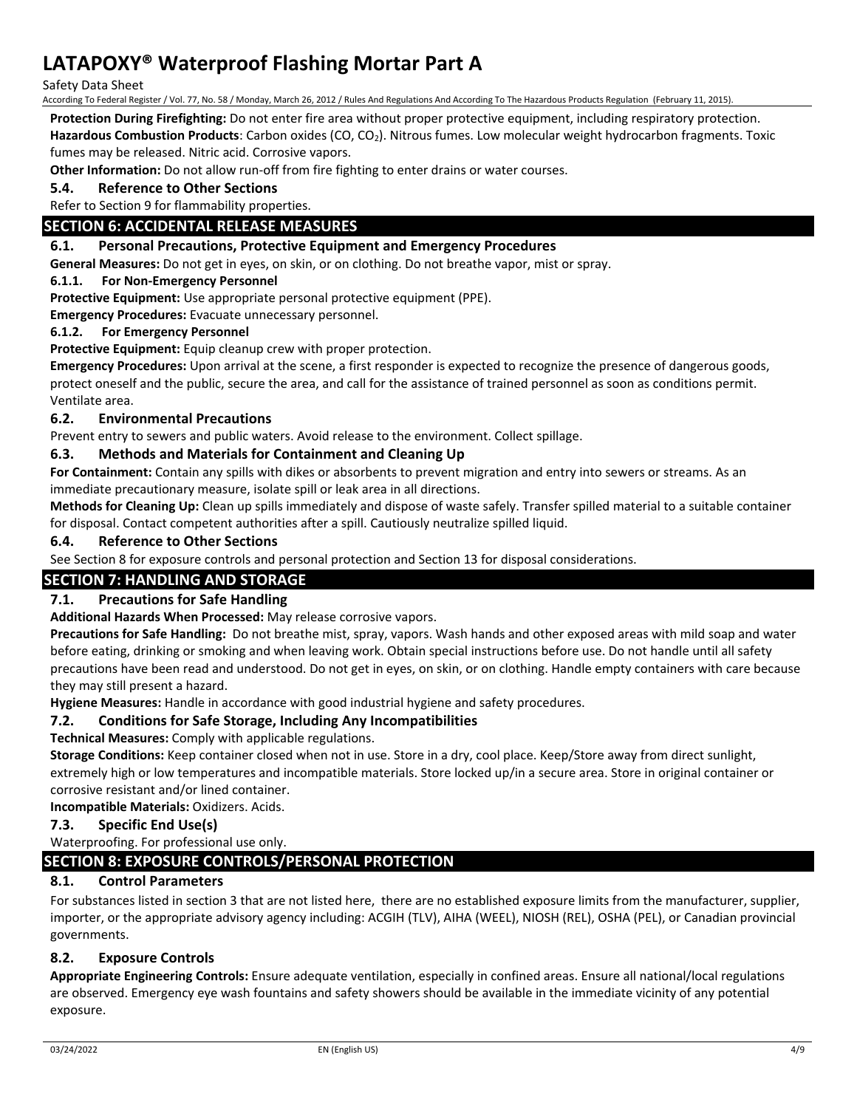Safety Data Sheet

According To Federal Register / Vol. 77, No. 58 / Monday, March 26, 2012 / Rules And Regulations And According To The Hazardous Products Regulation (February 11, 2015).

**Protection During Firefighting:** Do not enter fire area without proper protective equipment, including respiratory protection.

Hazardous Combustion Products: Carbon oxides (CO, CO<sub>2</sub>). Nitrous fumes. Low molecular weight hydrocarbon fragments. Toxic fumes may be released. Nitric acid. Corrosive vapors.

**Other Information:** Do not allow run-off from fire fighting to enter drains or water courses.

**5.4. Reference to Other Sections**

Refer to Section 9 for flammability properties.

## **SECTION 6: ACCIDENTAL RELEASE MEASURES**

#### **6.1. Personal Precautions, Protective Equipment and Emergency Procedures**

**General Measures:** Do not get in eyes, on skin, or on clothing. Do not breathe vapor, mist or spray.

#### **6.1.1. For Non-Emergency Personnel**

**Protective Equipment:** Use appropriate personal protective equipment (PPE).

**Emergency Procedures:** Evacuate unnecessary personnel.

#### **6.1.2. For Emergency Personnel**

**Protective Equipment:** Equip cleanup crew with proper protection.

**Emergency Procedures:** Upon arrival at the scene, a first responder is expected to recognize the presence of dangerous goods, protect oneself and the public, secure the area, and call for the assistance of trained personnel as soon as conditions permit. Ventilate area.

## **6.2. Environmental Precautions**

Prevent entry to sewers and public waters. Avoid release to the environment. Collect spillage.

## **6.3. Methods and Materials for Containment and Cleaning Up**

**For Containment:** Contain any spills with dikes or absorbents to prevent migration and entry into sewers or streams. As an immediate precautionary measure, isolate spill or leak area in all directions.

**Methods for Cleaning Up:** Clean up spills immediately and dispose of waste safely. Transfer spilled material to a suitable container for disposal. Contact competent authorities after a spill. Cautiously neutralize spilled liquid.

#### **6.4. Reference to Other Sections**

See Section 8 for exposure controls and personal protection and Section 13 for disposal considerations.

## **SECTION 7: HANDLING AND STORAGE**

## **7.1. Precautions for Safe Handling**

**Additional Hazards When Processed:** May release corrosive vapors.

**Precautions for Safe Handling:** Do not breathe mist, spray, vapors. Wash hands and other exposed areas with mild soap and water before eating, drinking or smoking and when leaving work. Obtain special instructions before use. Do not handle until all safety precautions have been read and understood. Do not get in eyes, on skin, or on clothing. Handle empty containers with care because they may still present a hazard.

**Hygiene Measures:** Handle in accordance with good industrial hygiene and safety procedures.

## **7.2. Conditions for Safe Storage, Including Any Incompatibilities**

**Technical Measures:** Comply with applicable regulations.

**Storage Conditions:** Keep container closed when not in use. Store in a dry, cool place. Keep/Store away from direct sunlight, extremely high or low temperatures and incompatible materials. Store locked up/in a secure area. Store in original container or corrosive resistant and/or lined container.

**Incompatible Materials:** Oxidizers. Acids.

## **7.3. Specific End Use(s)**

## Waterproofing. For professional use only.

## **SECTION 8: EXPOSURE CONTROLS/PERSONAL PROTECTION**

## **8.1. Control Parameters**

For substances listed in section 3 that are not listed here, there are no established exposure limits from the manufacturer, supplier, importer, or the appropriate advisory agency including: ACGIH (TLV), AIHA (WEEL), NIOSH (REL), OSHA (PEL), or Canadian provincial governments.

## **8.2. Exposure Controls**

**Appropriate Engineering Controls:** Ensure adequate ventilation, especially in confined areas. Ensure all national/local regulations are observed. Emergency eye wash fountains and safety showers should be available in the immediate vicinity of any potential exposure.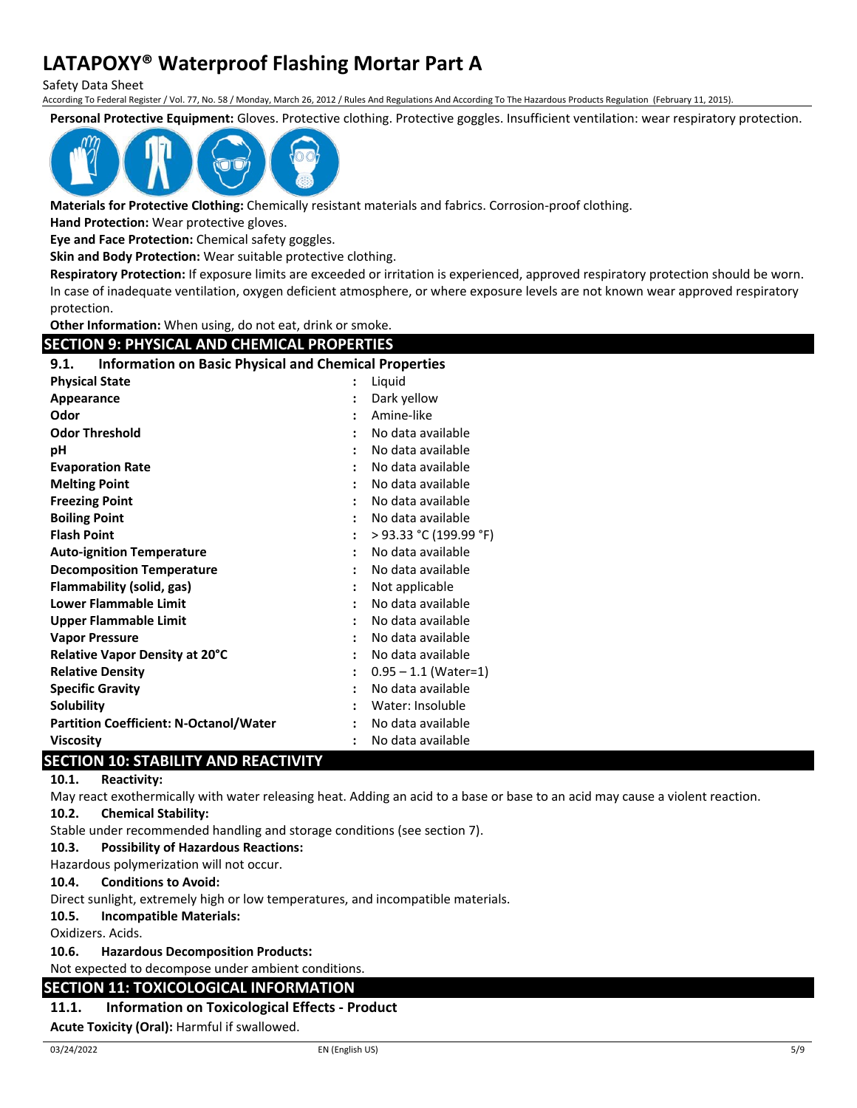Safety Data Sheet

According To Federal Register / Vol. 77, No. 58 / Monday, March 26, 2012 / Rules And Regulations And According To The Hazardous Products Regulation (February 11, 2015).

**Personal Protective Equipment:** Gloves. Protective clothing. Protective goggles. Insufficient ventilation: wear respiratory protection.



**Materials for Protective Clothing:** Chemically resistant materials and fabrics. Corrosion-proof clothing.

**Hand Protection:** Wear protective gloves.

**Eye and Face Protection:** Chemical safety goggles.

**Skin and Body Protection:** Wear suitable protective clothing.

**Respiratory Protection:** If exposure limits are exceeded or irritation is experienced, approved respiratory protection should be worn. In case of inadequate ventilation, oxygen deficient atmosphere, or where exposure levels are not known wear approved respiratory protection.

**Other Information:** When using, do not eat, drink or smoke.

| <b>SECTION 9: PHYSICAL AND CHEMICAL PROPERTIES</b>                   |  |                        |  |
|----------------------------------------------------------------------|--|------------------------|--|
| <b>Information on Basic Physical and Chemical Properties</b><br>9.1. |  |                        |  |
| <b>Physical State</b>                                                |  | Liquid                 |  |
| Appearance                                                           |  | Dark yellow            |  |
| Odor                                                                 |  | Amine-like             |  |
| <b>Odor Threshold</b>                                                |  | No data available      |  |
| рH                                                                   |  | No data available      |  |
| <b>Evaporation Rate</b>                                              |  | No data available      |  |
| <b>Melting Point</b>                                                 |  | No data available      |  |
| <b>Freezing Point</b>                                                |  | No data available      |  |
| <b>Boiling Point</b>                                                 |  | No data available      |  |
| <b>Flash Point</b>                                                   |  | > 93.33 °C (199.99 °F) |  |
| <b>Auto-ignition Temperature</b>                                     |  | No data available      |  |
| <b>Decomposition Temperature</b>                                     |  | No data available      |  |
| Flammability (solid, gas)                                            |  | Not applicable         |  |
| <b>Lower Flammable Limit</b>                                         |  | No data available      |  |
| <b>Upper Flammable Limit</b>                                         |  | No data available      |  |
| <b>Vapor Pressure</b>                                                |  | No data available      |  |
| Relative Vapor Density at 20°C                                       |  | No data available      |  |
| <b>Relative Density</b>                                              |  | $0.95 - 1.1$ (Water=1) |  |
| <b>Specific Gravity</b>                                              |  | No data available      |  |
| <b>Solubility</b>                                                    |  | Water: Insoluble       |  |
| <b>Partition Coefficient: N-Octanol/Water</b>                        |  | No data available      |  |
| <b>Viscosity</b>                                                     |  | No data available      |  |

## **SECTION 10: STABILITY AND REACTIVITY**

#### **10.1. Reactivity:**

May react exothermically with water releasing heat. Adding an acid to a base or base to an acid may cause a violent reaction.

## **10.2. Chemical Stability:**

Stable under recommended handling and storage conditions (see section 7).

## **10.3. Possibility of Hazardous Reactions:**

Hazardous polymerization will not occur.

#### **10.4. Conditions to Avoid:**

Direct sunlight, extremely high or low temperatures, and incompatible materials.

#### **10.5. Incompatible Materials:**

Oxidizers. Acids.

**10.6. Hazardous Decomposition Products:**

Not expected to decompose under ambient conditions.

## **SECTION 11: TOXICOLOGICAL INFORMATION**

#### **11.1. Information on Toxicological Effects - Product**

**Acute Toxicity (Oral):** Harmful if swallowed.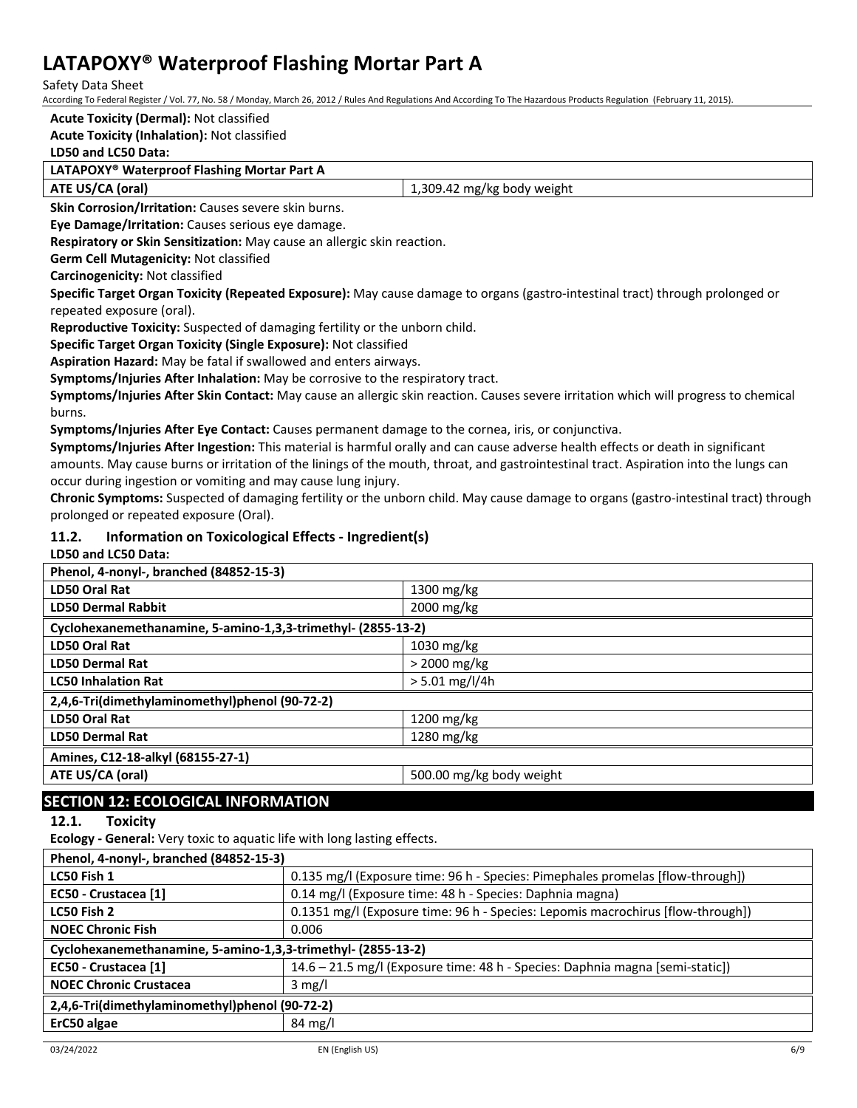Safety Data Sheet

According To Federal Register / Vol. 77, No. 58 / Monday, March 26, 2012 / Rules And Regulations And According To The Hazardous Products Regulation (February 11, 2015).

## **Acute Toxicity (Dermal):** Not classified

## **Acute Toxicity (Inhalation):** Not classified

## **LD50 and LC50 Data:**

#### **LATAPOXY® Waterproof Flashing Mortar Part A**

| ATE US/CA (oral) | mg/kg<br>.309<br>' body weight<br>42<br>. . |
|------------------|---------------------------------------------|

**Skin Corrosion/Irritation:** Causes severe skin burns.

**Eye Damage/Irritation:** Causes serious eye damage.

**Respiratory or Skin Sensitization:** May cause an allergic skin reaction.

**Germ Cell Mutagenicity:** Not classified

**Carcinogenicity:** Not classified

**Specific Target Organ Toxicity (Repeated Exposure):** May cause damage to organs (gastro-intestinal tract) through prolonged or repeated exposure (oral).

**Reproductive Toxicity:** Suspected of damaging fertility or the unborn child.

**Specific Target Organ Toxicity (Single Exposure):** Not classified

**Aspiration Hazard:** May be fatal if swallowed and enters airways.

**Symptoms/Injuries After Inhalation:** May be corrosive to the respiratory tract.

**Symptoms/Injuries After Skin Contact:** May cause an allergic skin reaction. Causes severe irritation which will progress to chemical burns.

**Symptoms/Injuries After Eye Contact:** Causes permanent damage to the cornea, iris, or conjunctiva.

**Symptoms/Injuries After Ingestion:** This material is harmful orally and can cause adverse health effects or death in significant amounts. May cause burns or irritation of the linings of the mouth, throat, and gastrointestinal tract. Aspiration into the lungs can occur during ingestion or vomiting and may cause lung injury.

**Chronic Symptoms:** Suspected of damaging fertility or the unborn child. May cause damage to organs (gastro-intestinal tract) through prolonged or repeated exposure (Oral).

## **11.2. Information on Toxicological Effects - Ingredient(s)**

**LD50 and LC50 Data:**

| Phenol, 4-nonyl-, branched (84852-15-3)                      |                          |  |
|--------------------------------------------------------------|--------------------------|--|
| LD50 Oral Rat                                                | 1300 mg/kg               |  |
| <b>LD50 Dermal Rabbit</b>                                    | 2000 mg/kg               |  |
| Cyclohexanemethanamine, 5-amino-1,3,3-trimethyl- (2855-13-2) |                          |  |
| LD50 Oral Rat                                                | $1030$ mg/kg             |  |
| <b>LD50 Dermal Rat</b>                                       | $>$ 2000 mg/kg           |  |
| <b>LC50 Inhalation Rat</b>                                   | $> 5.01$ mg/l/4h         |  |
| 2,4,6-Tri(dimethylaminomethyl)phenol (90-72-2)               |                          |  |
| <b>LD50 Oral Rat</b>                                         | 1200 mg/kg               |  |
| <b>LD50 Dermal Rat</b>                                       | 1280 mg/kg               |  |
| Amines, C12-18-alkyl (68155-27-1)                            |                          |  |
| ATE US/CA (oral)                                             | 500.00 mg/kg body weight |  |

## **SECTION 12: ECOLOGICAL INFORMATION**

**12.1. Toxicity**

**Ecology - General:** Very toxic to aquatic life with long lasting effects.

| Phenol, 4-nonyl-, branched (84852-15-3)                      |                                                                                 |  |
|--------------------------------------------------------------|---------------------------------------------------------------------------------|--|
| LC50 Fish 1                                                  | 0.135 mg/l (Exposure time: 96 h - Species: Pimephales promelas [flow-through])  |  |
| EC50 - Crustacea [1]                                         | 0.14 mg/l (Exposure time: 48 h - Species: Daphnia magna)                        |  |
| LC50 Fish 2                                                  | 0.1351 mg/l (Exposure time: 96 h - Species: Lepomis macrochirus [flow-through]) |  |
| <b>NOEC Chronic Fish</b>                                     | 0.006                                                                           |  |
| Cyclohexanemethanamine, 5-amino-1,3,3-trimethyl- (2855-13-2) |                                                                                 |  |
| EC50 - Crustacea [1]                                         | 14.6 - 21.5 mg/l (Exposure time: 48 h - Species: Daphnia magna [semi-static])   |  |
| <b>NOEC Chronic Crustacea</b>                                | $3 \text{ mg/l}$                                                                |  |
| 2,4,6-Tri(dimethylaminomethyl)phenol (90-72-2)               |                                                                                 |  |
| ErC50 algae                                                  | $84 \text{ mg/l}$                                                               |  |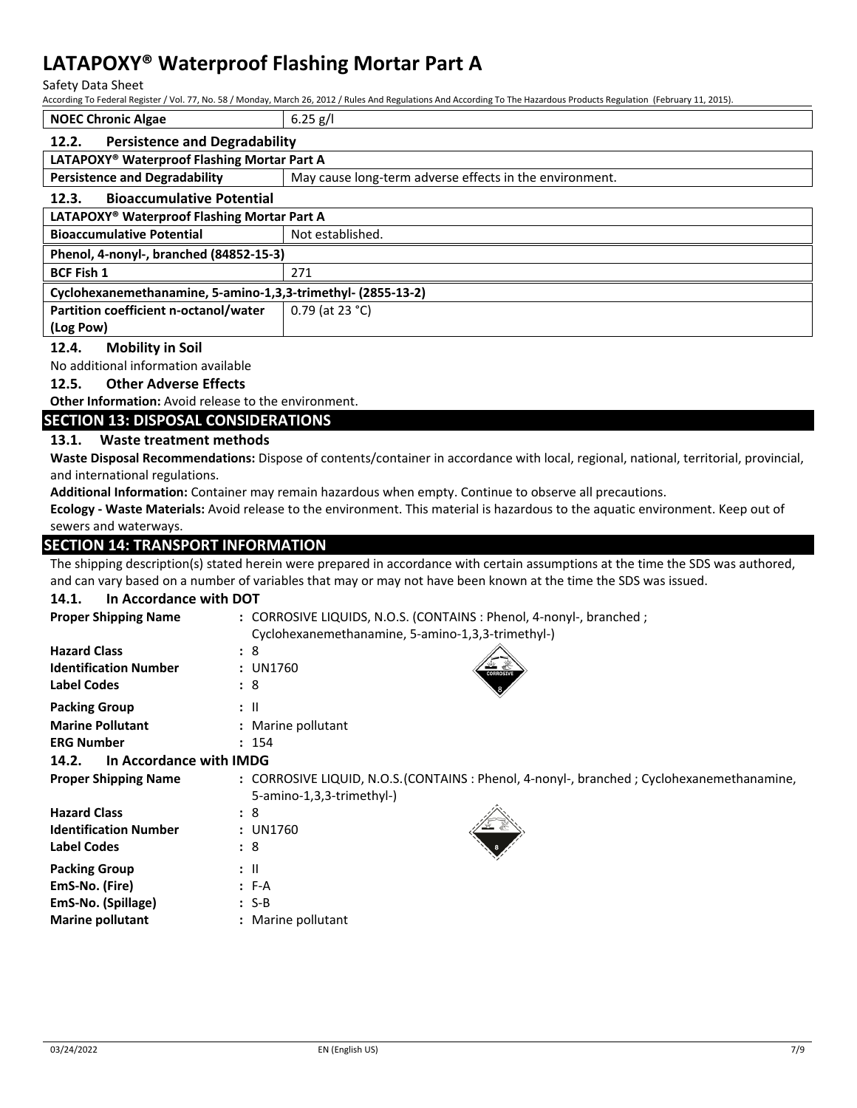Safety Data Sheet

According To Federal Register / Vol. 77, No. 58 / Monday, March 26, 2012 / Rules And Regulations And According To The Hazardous Products Regulation (February 11, 2015).

| <b>NOEC Chronic Algae</b>                                    | $6.25$ g/l                                              |  |
|--------------------------------------------------------------|---------------------------------------------------------|--|
| <b>Persistence and Degradability</b><br>12.2.                |                                                         |  |
| LATAPOXY® Waterproof Flashing Mortar Part A                  |                                                         |  |
| <b>Persistence and Degradability</b>                         | May cause long-term adverse effects in the environment. |  |
| <b>Bioaccumulative Potential</b><br>12.3.                    |                                                         |  |
| LATAPOXY® Waterproof Flashing Mortar Part A                  |                                                         |  |
| <b>Bioaccumulative Potential</b>                             | Not established.                                        |  |
| Phenol, 4-nonyl-, branched (84852-15-3)                      |                                                         |  |
| <b>BCF Fish 1</b>                                            | 271                                                     |  |
| Cyclohexanemethanamine, 5-amino-1,3,3-trimethyl- (2855-13-2) |                                                         |  |
| Partition coefficient n-octanol/water                        | 0.79 (at 23 °C)                                         |  |
| (Log Pow)                                                    |                                                         |  |

#### **12.4. Mobility in Soil**

No additional information available

#### **12.5. Other Adverse Effects**

**Other Information:** Avoid release to the environment.

#### **SECTION 13: DISPOSAL CONSIDERATIONS**

#### **13.1. Waste treatment methods**

**Waste Disposal Recommendations:** Dispose of contents/container in accordance with local, regional, national, territorial, provincial, and international regulations.

**Additional Information:** Container may remain hazardous when empty. Continue to observe all precautions.

**Ecology - Waste Materials:** Avoid release to the environment. This material is hazardous to the aquatic environment. Keep out of sewers and waterways.

## **SECTION 14: TRANSPORT INFORMATION**

The shipping description(s) stated herein were prepared in accordance with certain assumptions at the time the SDS was authored, and can vary based on a number of variables that may or may not have been known at the time the SDS was issued.

## **14.1. In Accordance with DOT**

| <b>Proper Shipping Name</b>      | : CORROSIVE LIQUIDS, N.O.S. (CONTAINS : Phenol, 4-nonyl-, branched ;                                                     |  |
|----------------------------------|--------------------------------------------------------------------------------------------------------------------------|--|
|                                  | Cyclohexanemethanamine, 5-amino-1,3,3-trimethyl-)                                                                        |  |
| <b>Hazard Class</b>              | :8                                                                                                                       |  |
| <b>Identification Number</b>     | : UN1760<br><b>CORROSIVE</b>                                                                                             |  |
| <b>Label Codes</b>               | : 8                                                                                                                      |  |
| <b>Packing Group</b>             | $:$ $\mathsf{II}$                                                                                                        |  |
| <b>Marine Pollutant</b>          | : Marine pollutant                                                                                                       |  |
| <b>ERG Number</b>                | : 154                                                                                                                    |  |
| In Accordance with IMDG<br>14.2. |                                                                                                                          |  |
| <b>Proper Shipping Name</b>      | : CORROSIVE LIQUID, N.O.S. (CONTAINS : Phenol, 4-nonyl-, branched ; Cyclohexanemethanamine,<br>5-amino-1,3,3-trimethyl-) |  |
| <b>Hazard Class</b>              | :8                                                                                                                       |  |
| <b>Identification Number</b>     | : UN1760                                                                                                                 |  |
| <b>Label Codes</b>               | :8                                                                                                                       |  |
| <b>Packing Group</b>             | $\pm$ 11                                                                                                                 |  |
| EmS-No. (Fire)                   | $F-A$                                                                                                                    |  |
| EmS-No. (Spillage)               | $: S-B$                                                                                                                  |  |
| <b>Marine pollutant</b>          | : Marine pollutant                                                                                                       |  |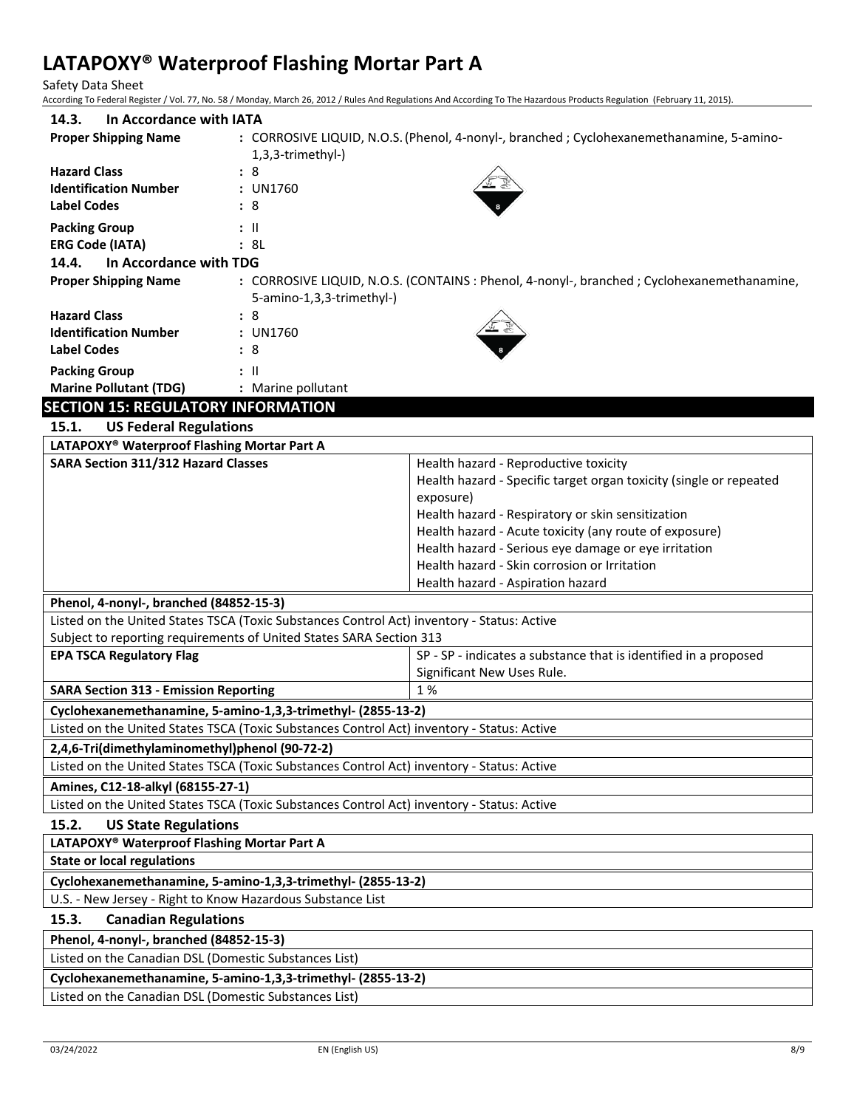Safety Data Sheet

According To Federal Register / Vol. 77, No. 58 / Monday, March 26, 2012 / Rules And Regulations And According To The Hazardous Products Regulation (February 11, 2015).

| In Accordance with IATA<br>14.3.          |                                                                                                                          |
|-------------------------------------------|--------------------------------------------------------------------------------------------------------------------------|
| <b>Proper Shipping Name</b>               | : CORROSIVE LIQUID, N.O.S. (Phenol, 4-nonyl-, branched ; Cyclohexanemethanamine, 5-amino-<br>1,3,3-trimethyl-)           |
| <b>Hazard Class</b>                       | : 8                                                                                                                      |
| <b>Identification Number</b>              | : UN1760                                                                                                                 |
| <b>Label Codes</b>                        | :8                                                                                                                       |
| <b>Packing Group</b>                      | : II                                                                                                                     |
| <b>ERG Code (IATA)</b>                    | : 8L                                                                                                                     |
| In Accordance with TDG<br>14.4.           |                                                                                                                          |
| <b>Proper Shipping Name</b>               | : CORROSIVE LIQUID, N.O.S. (CONTAINS : Phenol, 4-nonyl-, branched ; Cyclohexanemethanamine,<br>5-amino-1,3,3-trimethyl-) |
| <b>Hazard Class</b>                       | :8                                                                                                                       |
| <b>Identification Number</b>              | : UN1760                                                                                                                 |
| <b>Label Codes</b>                        | : 8                                                                                                                      |
| <b>Packing Group</b>                      | $\mathbf{H}$                                                                                                             |
| <b>Marine Pollutant (TDG)</b>             | : Marine pollutant                                                                                                       |
| <b>SECTION 15: REGULATORY INFORMATION</b> |                                                                                                                          |
| 4 F 4<br><b>ALC Federal Benedictions</b>  |                                                                                                                          |

| 15.1.<br><b>US Federal Regulations</b>                                                     |                                                                    |  |
|--------------------------------------------------------------------------------------------|--------------------------------------------------------------------|--|
| LATAPOXY® Waterproof Flashing Mortar Part A                                                |                                                                    |  |
| SARA Section 311/312 Hazard Classes                                                        | Health hazard - Reproductive toxicity                              |  |
|                                                                                            | Health hazard - Specific target organ toxicity (single or repeated |  |
|                                                                                            | exposure)                                                          |  |
|                                                                                            | Health hazard - Respiratory or skin sensitization                  |  |
|                                                                                            | Health hazard - Acute toxicity (any route of exposure)             |  |
|                                                                                            | Health hazard - Serious eye damage or eye irritation               |  |
|                                                                                            | Health hazard - Skin corrosion or Irritation                       |  |
|                                                                                            | Health hazard - Aspiration hazard                                  |  |
| Phenol, 4-nonyl-, branched (84852-15-3)                                                    |                                                                    |  |
| Listed on the United States TSCA (Toxic Substances Control Act) inventory - Status: Active |                                                                    |  |
| Subject to reporting requirements of United States SARA Section 313                        |                                                                    |  |
| <b>EPA TSCA Regulatory Flag</b>                                                            | SP - SP - indicates a substance that is identified in a proposed   |  |
|                                                                                            | Significant New Uses Rule.                                         |  |
| 1 %<br><b>SARA Section 313 - Emission Reporting</b>                                        |                                                                    |  |
| Cyclohexanemethanamine, 5-amino-1,3,3-trimethyl- (2855-13-2)                               |                                                                    |  |
| Listed on the United States TSCA (Toxic Substances Control Act) inventory - Status: Active |                                                                    |  |
| 2,4,6-Tri(dimethylaminomethyl)phenol (90-72-2)                                             |                                                                    |  |
| Listed on the United States TSCA (Toxic Substances Control Act) inventory - Status: Active |                                                                    |  |
| Amines, C12-18-alkyl (68155-27-1)                                                          |                                                                    |  |
| Listed on the United States TSCA (Toxic Substances Control Act) inventory - Status: Active |                                                                    |  |
| 15.2.<br><b>US State Regulations</b>                                                       |                                                                    |  |
| LATAPOXY® Waterproof Flashing Mortar Part A                                                |                                                                    |  |
| <b>State or local regulations</b>                                                          |                                                                    |  |
| Cyclohexanemethanamine, 5-amino-1,3,3-trimethyl- (2855-13-2)                               |                                                                    |  |

U.S. - New Jersey - Right to Know Hazardous Substance List

## **15.3. Canadian Regulations**

**Phenol, 4-nonyl-, branched (84852-15-3)**

Listed on the Canadian DSL (Domestic Substances List)

**Cyclohexanemethanamine, 5-amino-1,3,3-trimethyl- (2855-13-2)**

Listed on the Canadian DSL (Domestic Substances List)